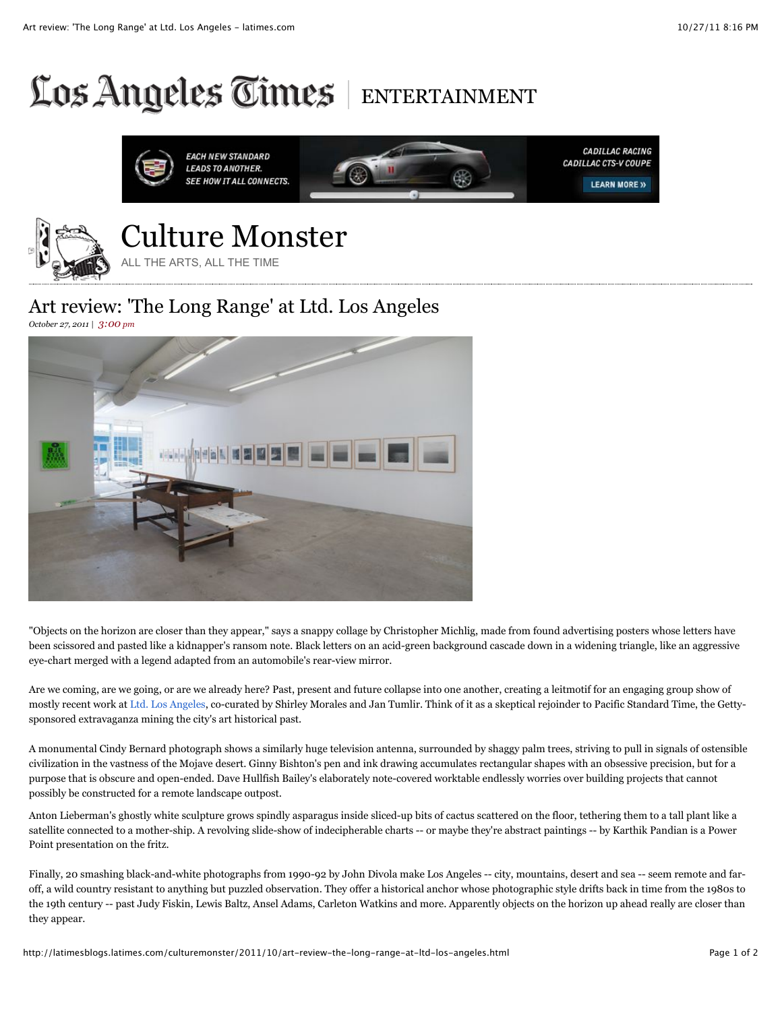## Los Angeles Times ENTERTAINMENT





## Art review: 'The Long Range' at Ltd. Los Angeles

*October 27, 2011 | 3:00 pm*



"Objects on the horizon are closer than they appear," says a snappy collage by Christopher Michlig, made from found advertising posters whose letters have been scissored and pasted like a kidnapper's ransom note. Black letters on an acid-green background cascade down in a widening triangle, like an aggressive eye-chart merged with a legend adapted from an automobile's rear-view mirror.

Are we coming, are we going, or are we already here? Past, present and future collapse into one another, creating a leitmotif for an engaging group show of mostly recent work at Ltd. Los Angeles, co-curated by Shirley Morales and Jan Tumlir. Think of it as a skeptical rejoinder to Pacific Standard Time, the Gettysponsored extravaganza mining the city's art historical past.

A monumental Cindy Bernard photograph shows a similarly huge television antenna, surrounded by shaggy palm trees, striving to pull in signals of ostensible civilization in the vastness of the Mojave desert. Ginny Bishton's pen and ink drawing accumulates rectangular shapes with an obsessive precision, but for a purpose that is obscure and open-ended. Dave Hullfish Bailey's elaborately note-covered worktable endlessly worries over building projects that cannot possibly be constructed for a remote landscape outpost.

Anton Lieberman's ghostly white sculpture grows spindly asparagus inside sliced-up bits of cactus scattered on the floor, tethering them to a tall plant like a satellite connected to a mother-ship. A revolving slide-show of indecipherable charts -- or maybe they're abstract paintings -- by Karthik Pandian is a Power Point presentation on the fritz.

Finally, 20 smashing black-and-white photographs from 1990-92 by John Divola make Los Angeles -- city, mountains, desert and sea -- seem remote and faroff, a wild country resistant to anything but puzzled observation. They offer a historical anchor whose photographic style drifts back in time from the 1980s to the 19th century -- past Judy Fiskin, Lewis Baltz, Ansel Adams, Carleton Watkins and more. Apparently objects on the horizon up ahead really are closer than they appear.